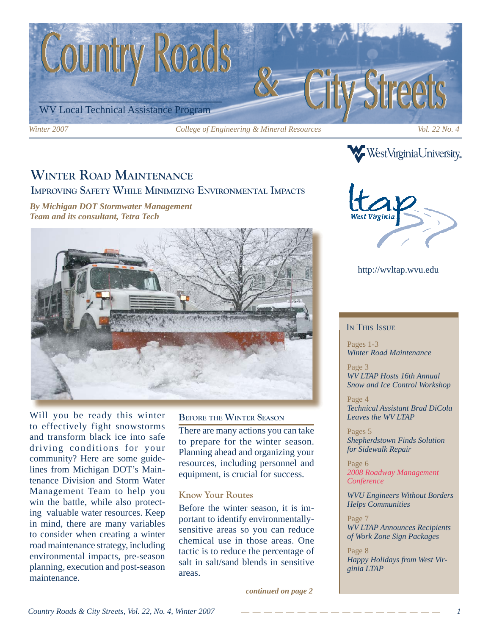

### **WINTER ROAD MAINTENANCE IMPROVING SAFETY WHILE MINIMIZING ENVIRONMENTAL IMPACTS**

*By Michigan DOT Stormwater Management Team and its consultant, Tetra Tech*



Will you be ready this winter to effectively fight snowstorms and transform black ice into safe driving conditions for your community? Here are some guidelines from Michigan DOT's Maintenance Division and Storm Water Management Team to help you win the battle, while also protecting valuable water resources. Keep in mind, there are many variables to consider when creating a winter road maintenance strategy, including environmental impacts, pre-season planning, execution and post-season maintenance.

#### **BEFORE THE WINTER SEASON**

There are many actions you can take to prepare for the winter season. Planning ahead and organizing your resources, including personnel and equipment, is crucial for success.

### **Know Your Routes**

Before the winter season, it is important to identify environmentallysensitive areas so you can reduce chemical use in those areas. One tactic is to reduce the percentage of salt in salt/sand blends in sensitive areas.

*continued on page 2*



**WestVirginiaUniversity** 

### http://wvltap.wvu.edu

#### IN THIS ISSUE

Pages 1-3 *Winter Road Maintenance*

Page 3 *WV LTAP Hosts 16th Annual Snow and Ice Control Workshop*

Page 4 *Technical Assistant Brad DiCola Leaves the WV LTAP*

Pages 5 *Shepherdstown Finds Solution for Sidewalk Repair*

Page 6 *2008 Roadway Management Conference*

*WVU Engineers Without Borders Helps Communities* 

Page 7 *WV LTAP Announces Recipients of Work Zone Sign Packages*

Page 8 *Happy Holidays from West Virginia LTAP*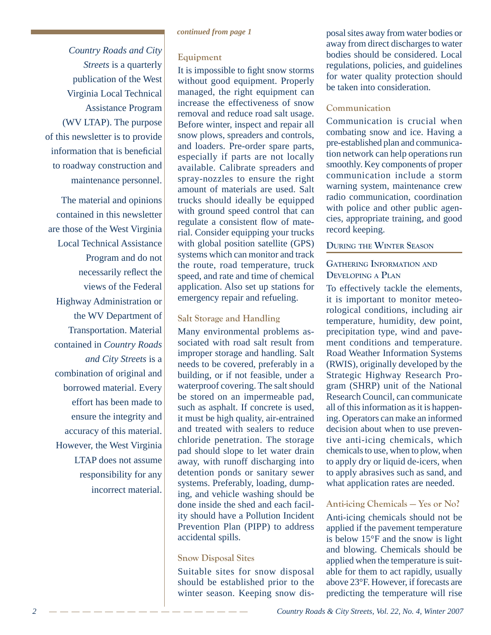*Country Roads and City Streets* is a quarterly publication of the West Virginia Local Technical Assistance Program (WV LTAP). The purpose of this newsletter is to provide information that is beneficial to roadway construction and maintenance personnel.

The material and opinions contained in this newsletter are those of the West Virginia Local Technical Assistance Program and do not necessarily reflect the views of the Federal Highway Administration or the WV Department of Transportation. Material contained in *Country Roads and City Streets* is a combination of original and borrowed material. Every effort has been made to ensure the integrity and accuracy of this material. However, the West Virginia LTAP does not assume responsibility for any incorrect material.

#### *continued from page 1*

### **Equipment**

It is impossible to fight snow storms without good equipment. Properly managed, the right equipment can increase the effectiveness of snow removal and reduce road salt usage. Before winter, inspect and repair all snow plows, spreaders and controls, and loaders. Pre-order spare parts, especially if parts are not locally available. Calibrate spreaders and spray-nozzles to ensure the right amount of materials are used. Salt trucks should ideally be equipped with ground speed control that can regulate a consistent flow of material. Consider equipping your trucks with global position satellite (GPS) systems which can monitor and track the route, road temperature, truck speed, and rate and time of chemical application. Also set up stations for emergency repair and refueling.

### **Salt Storage and Handling**

Many environmental problems associated with road salt result from improper storage and handling. Salt needs to be covered, preferably in a building, or if not feasible, under a waterproof covering. The salt should be stored on an impermeable pad, such as asphalt. If concrete is used, it must be high quality, air-entrained and treated with sealers to reduce chloride penetration. The storage pad should slope to let water drain away, with runoff discharging into detention ponds or sanitary sewer systems. Preferably, loading, dumping, and vehicle washing should be done inside the shed and each facility should have a Pollution Incident Prevention Plan (PIPP) to address accidental spills.

### **Snow Disposal Sites**

Suitable sites for snow disposal should be established prior to the winter season. Keeping snow disposal sites away from water bodies or away from direct discharges to water bodies should be considered. Local regulations, policies, and guidelines for water quality protection should be taken into consideration.

### **Communication**

Communication is crucial when combating snow and ice. Having a pre-established plan and communication network can help operations run smoothly. Key components of proper communication include a storm warning system, maintenance crew radio communication, coordination with police and other public agencies, appropriate training, and good record keeping.

### **DURING THE WINTER SEASON**

### **GATHERING INFORMATION AND DEVELOPING A PLAN**

To effectively tackle the elements, it is important to monitor meteorological conditions, including air temperature, humidity, dew point, precipitation type, wind and pavement conditions and temperature. Road Weather Information Systems (RWIS), originally developed by the Strategic Highway Research Program (SHRP) unit of the National Research Council, can communicate all of this information as it is happening. Operators can make an informed decision about when to use preventive anti-icing chemicals, which chemicals to use, when to plow, when to apply dry or liquid de-icers, when to apply abrasives such as sand, and what application rates are needed.

### **Anti-icing Chemicals — Yes or No?**

Anti-icing chemicals should not be applied if the pavement temperature is below 15°F and the snow is light and blowing. Chemicals should be applied when the temperature is suitable for them to act rapidly, usually above 23°F. However, if forecasts are predicting the temperature will rise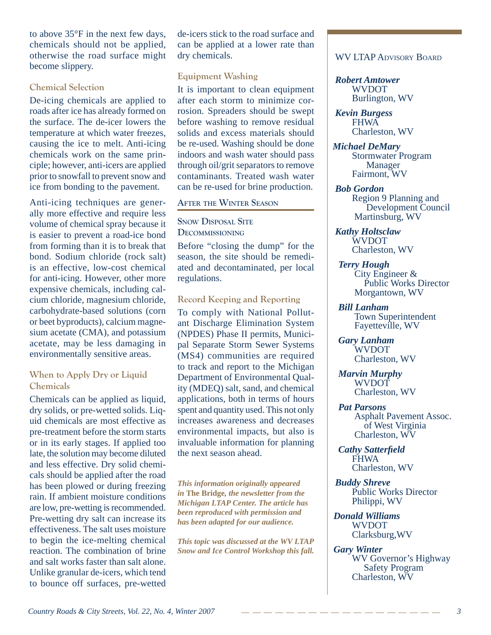to above 35°F in the next few days, chemicals should not be applied, otherwise the road surface might become slippery.

### **Chemical Selection**

De-icing chemicals are applied to roads after ice has already formed on the surface. The de-icer lowers the temperature at which water freezes, causing the ice to melt. Anti-icing chemicals work on the same principle; however, anti-icers are applied prior to snowfall to prevent snow and ice from bonding to the pavement.

Anti-icing techniques are generally more effective and require less volume of chemical spray because it is easier to prevent a road-ice bond from forming than it is to break that bond. Sodium chloride (rock salt) is an effective, low-cost chemical for anti-icing. However, other more expensive chemicals, including calcium chloride, magnesium chloride, carbohydrate-based solutions (corn or beet byproducts), calcium magnesium acetate (CMA), and potassium acetate, may be less damaging in environmentally sensitive areas.

### **When to Apply Dry or Liquid Chemicals**

Chemicals can be applied as liquid, dry solids, or pre-wetted solids. Liquid chemicals are most effective as pre-treatment before the storm starts or in its early stages. If applied too late, the solution may become diluted and less effective. Dry solid chemicals should be applied after the road has been plowed or during freezing rain. If ambient moisture conditions are low, pre-wetting is recommended. Pre-wetting dry salt can increase its effectiveness. The salt uses moisture to begin the ice-melting chemical reaction. The combination of brine and salt works faster than salt alone. Unlike granular de-icers, which tend to bounce off surfaces, pre-wetted de-icers stick to the road surface and can be applied at a lower rate than dry chemicals.

### **Equipment Washing**

It is important to clean equipment after each storm to minimize corrosion. Spreaders should be swept before washing to remove residual solids and excess materials should be re-used. Washing should be done indoors and wash water should pass through oil/grit separators to remove contaminants. Treated wash water can be re-used for brine production.

### **AFTER THE WINTER SEASON**

**SNOW DISPOSAL SITE DECOMMISSIONING**

Before "closing the dump" for the season, the site should be remediated and decontaminated, per local regulations.

### **Record Keeping and Reporting**

To comply with National Pollutant Discharge Elimination System (NPDES) Phase II permits, Municipal Separate Storm Sewer Systems (MS4) communities are required to track and report to the Michigan Department of Environmental Quality (MDEQ) salt, sand, and chemical applications, both in terms of hours spent and quantity used. This not only increases awareness and decreases environmental impacts, but also is invaluable information for planning the next season ahead.

*This information originally appeared in* **The Bridge***, the newsletter from the Michigan LTAP Center. The article has been reproduced with permission and has been adapted for our audience.*

*This topic was discussed at the WV LTAP Snow and Ice Control Workshop this fall.* 

### WV LTAP ADVISORY BOARD

#### *Robert Amtower* WVDOT Burlington, WV

*Kevin Burgess* FHWA Charleston, WV

- *Michael DeMary* Stormwater Program Manager Fairmont, WV
- *Bob Gordon* Region 9 Planning and Development Council Martinsburg, WV
- *Kathy Holtsclaw* WVDOT Charleston, WV
- *Terry Hough* City Engineer & Public Works Director Morgantown, WV

 *Bill Lanham* Town Superintendent Fayetteville, WV

 *Gary Lanham* WVDOT Charleston, WV

 *Marvin Murphy* WVDOT Charleston, WV

 *Pat Parsons* Asphalt Pavement Assoc. of West Virginia Charleston, WV

 *Cathy Satterfi eld* FHWA Charleston, WV

*Buddy Shreve* Public Works Director Philippi, WV

*Donald Williams* WVDOT Clarksburg,WV

*Gary Winter* WV Governor's Highway Safety Program Charleston, WV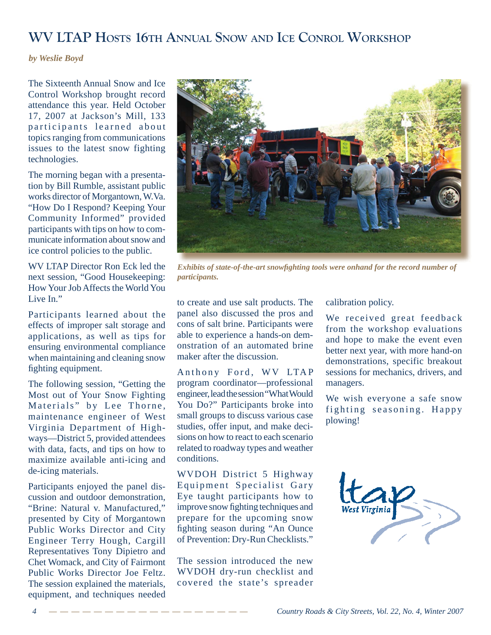### **WV LTAP HOSTS 16TH ANNUAL SNOW AND ICE CONROL WORKSHOP**

*by Weslie Boyd*

The Sixteenth Annual Snow and Ice Control Workshop brought record attendance this year. Held October 17, 2007 at Jackson's Mill, 133 participants learned about topics ranging from communications issues to the latest snow fighting technologies.

The morning began with a presentation by Bill Rumble, assistant public works director of Morgantown, W.Va. "How Do I Respond? Keeping Your Community Informed" provided participants with tips on how to communicate information about snow and ice control policies to the public.

WV LTAP Director Ron Eck led the next session, "Good Housekeeping: How Your Job Affects the World You Live In."

Participants learned about the effects of improper salt storage and applications, as well as tips for ensuring environmental compliance when maintaining and cleaning snow fighting equipment.

The following session, "Getting the Most out of Your Snow Fighting Materials" by Lee Thorne, maintenance engineer of West Virginia Department of Highways—District 5, provided attendees with data, facts, and tips on how to maximize available anti-icing and de-icing materials.

Participants enjoyed the panel discussion and outdoor demonstration, "Brine: Natural v. Manufactured," presented by City of Morgantown Public Works Director and City Engineer Terry Hough, Cargill Representatives Tony Dipietro and Chet Womack, and City of Fairmont Public Works Director Joe Feltz. The session explained the materials, equipment, and techniques needed



*Exhibits of state-of-the-art snowfighting tools were onhand for the record number of participants.*

to create and use salt products. The panel also discussed the pros and cons of salt brine. Participants were able to experience a hands-on demonstration of an automated brine maker after the discussion.

Anthony Ford, WV LTAP program coordinator—professional engineer, lead the session "What Would You Do?" Participants broke into small groups to discuss various case studies, offer input, and make decisions on how to react to each scenario related to roadway types and weather conditions.

WVDOH District 5 Highway Equipment Specialist Gary Eye taught participants how to improve snow fighting techniques and prepare for the upcoming snow fighting season during "An Ounce of Prevention: Dry-Run Checklists."

The session introduced the new WVDOH dry-run checklist and covered the state's spreader

calibration policy.

We received great feedback from the workshop evaluations and hope to make the event even better next year, with more hand-on demonstrations, specific breakout sessions for mechanics, drivers, and managers.

We wish everyone a safe snow fighting seasoning. Happy plowing!

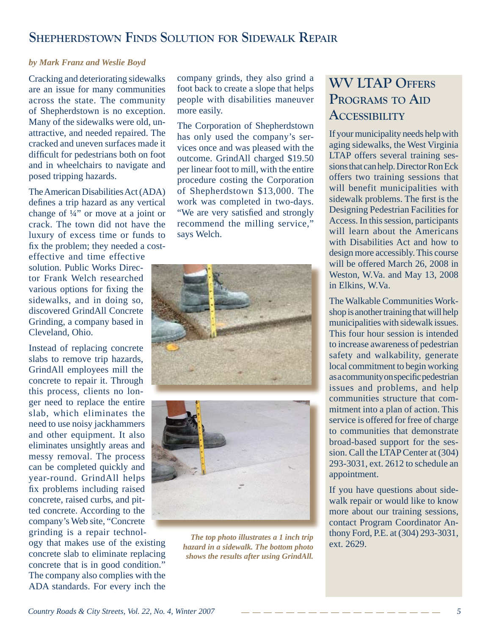### **SHEPHERDSTOWN FINDS SOLUTION FOR SIDEWALK REPAIR**

### *by Mark Franz and Weslie Boyd*

Cracking and deteriorating sidewalks are an issue for many communities across the state. The community of Shepherdstown is no exception. Many of the sidewalks were old, unattractive, and needed repaired. The cracked and uneven surfaces made it difficult for pedestrians both on foot and in wheelchairs to navigate and posed tripping hazards.

The American Disabilities Act (ADA) defines a trip hazard as any vertical change of  $\frac{1}{4}$ " or move at a joint or crack. The town did not have the luxury of excess time or funds to fix the problem; they needed a cost-

effective and time effective solution. Public Works Director Frank Welch researched various options for fixing the sidewalks, and in doing so, discovered GrindAll Concrete Grinding, a company based in Cleveland, Ohio.

Instead of replacing concrete slabs to remove trip hazards, GrindAll employees mill the concrete to repair it. Through this process, clients no longer need to replace the entire slab, which eliminates the need to use noisy jackhammers and other equipment. It also eliminates unsightly areas and messy removal. The process can be completed quickly and year-round. GrindAll helps fix problems including raised concrete, raised curbs, and pitted concrete. According to the company's Web site, "Concrete grinding is a repair technol-

ogy that makes use of the existing concrete slab to eliminate replacing concrete that is in good condition." The company also complies with the ADA standards. For every inch the

company grinds, they also grind a foot back to create a slope that helps people with disabilities maneuver more easily.

The Corporation of Shepherdstown has only used the company's services once and was pleased with the outcome. GrindAll charged \$19.50 per linear foot to mill, with the entire procedure costing the Corporation of Shepherdstown \$13,000. The work was completed in two-days. "We are very satisfied and strongly recommend the milling service," says Welch.





*The top photo illustrates a 1 inch trip hazard in a sidewalk. The bottom photo shows the results after using GrindAll.*

### **WV LTAP OFFERS PROGRAMS TO AID ACCESSIBILITY**

If your municipality needs help with aging sidewalks, the West Virginia LTAP offers several training sessions that can help. Director Ron Eck offers two training sessions that will benefit municipalities with sidewalk problems. The first is the Designing Pedestrian Facilities for Access. In this session, participants will learn about the Americans with Disabilities Act and how to design more accessibly. This course will be offered March 26, 2008 in Weston, W.Va. and May 13, 2008 in Elkins, W.Va.

The Walkable Communities Workshop is another training that will help municipalities with sidewalk issues. This four hour session is intended to increase awareness of pedestrian safety and walkability, generate local commitment to begin working as a community on specific pedestrian issues and problems, and help communities structure that commitment into a plan of action. This service is offered for free of charge to communities that demonstrate broad-based support for the session. Call the LTAP Center at (304) 293-3031, ext. 2612 to schedule an appointment.

If you have questions about sidewalk repair or would like to know more about our training sessions, contact Program Coordinator Anthony Ford, P.E. at (304) 293-3031, ext. 2629.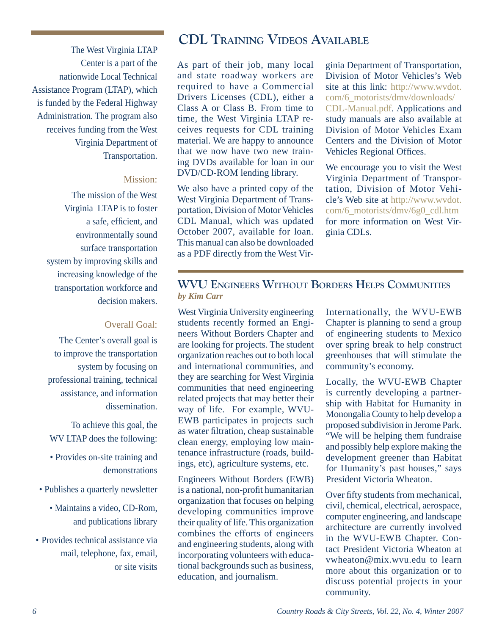The West Virginia LTAP Center is a part of the nationwide Local Technical Assistance Program (LTAP), which is funded by the Federal Highway Administration. The program also receives funding from the West Virginia Department of Transportation.

#### Mission:

The mission of the West Virginia LTAP is to foster a safe, efficient, and environmentally sound surface transportation system by improving skills and increasing knowledge of the transportation workforce and decision makers.

### Overall Goal:

The Center's overall goal is to improve the transportation system by focusing on professional training, technical assistance, and information dissemination.

To achieve this goal, the WV LTAP does the following:

- Provides on-site training and demonstrations
- Publishes a quarterly newsletter
	- Maintains a video, CD-Rom, and publications library
- Provides technical assistance via mail, telephone, fax, email, or site visits

### **CDL TRAINING VIDEOS AVAILABLE**

As part of their job, many local and state roadway workers are required to have a Commercial Drivers Licenses (CDL), either a Class A or Class B. From time to time, the West Virginia LTAP receives requests for CDL training material. We are happy to announce that we now have two new training DVDs available for loan in our DVD/CD-ROM lending library.

We also have a printed copy of the West Virginia Department of Transportation, Division of Motor Vehicles CDL Manual, which was updated October 2007, available for loan. This manual can also be downloaded as a PDF directly from the West Virginia Department of Transportation, Division of Motor Vehicles's Web site at this link: http://www.wvdot. com/6\_motorists/dmv/downloads/ CDL-Manual.pdf. Applications and study manuals are also available at Division of Motor Vehicles Exam Centers and the Division of Motor Vehicles Regional Offices.

We encourage you to visit the West Virginia Department of Transportation, Division of Motor Vehicle's Web site at http://www.wvdot. com/6\_motorists/dmv/6g0\_cdl.htm for more information on West Virginia CDLs.

### **WVU ENGINEERS WITHOUT BORDERS HELPS COMMUNITIES** *by Kim Carr*

West Virginia University engineering students recently formed an Engineers Without Borders Chapter and are looking for projects. The student organization reaches out to both local and international communities, and they are searching for West Virginia communities that need engineering related projects that may better their way of life. For example, WVU-EWB participates in projects such as water filtration, cheap sustainable clean energy, employing low maintenance infrastructure (roads, buildings, etc), agriculture systems, etc.

Engineers Without Borders (EWB) is a national, non-profit humanitarian organization that focuses on helping developing communities improve their quality of life. This organization combines the efforts of engineers and engineering students, along with incorporating volunteers with educational backgrounds such as business, education, and journalism.

Internationally, the WVU-EWB Chapter is planning to send a group of engineering students to Mexico over spring break to help construct greenhouses that will stimulate the community's economy.

Locally, the WVU-EWB Chapter is currently developing a partnership with Habitat for Humanity in Monongalia County to help develop a proposed subdivision in Jerome Park. "We will be helping them fundraise and possibly help explore making the development greener than Habitat for Humanity's past houses," says President Victoria Wheaton.

Over fifty students from mechanical, civil, chemical, electrical, aerospace, computer engineering, and landscape architecture are currently involved in the WVU-EWB Chapter. Contact President Victoria Wheaton at vwheaton@mix.wvu.edu to learn more about this organization or to discuss potential projects in your community.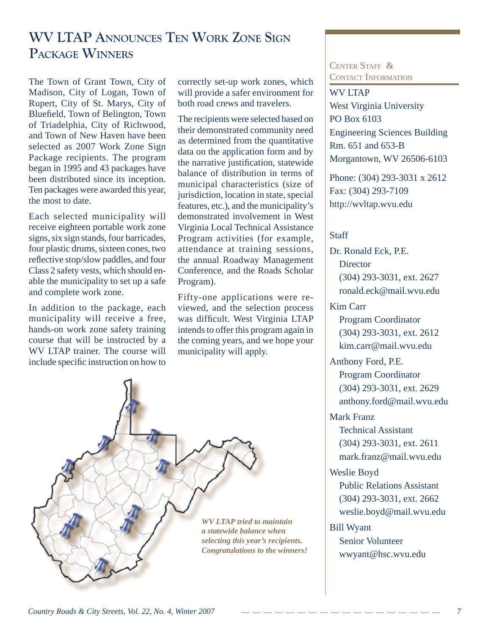### **WV LTAP ANNOUNCES TEN WORK ZONE SIGN PACKAGE WINNERS**

The Town of Grant Town, City of Madison, City of Logan, Town of Rupert, City of St. Marys, City of Bluefield, Town of Belington, Town of Triadelphia, City of Richwood, and Town of New Haven have been selected as 2007 Work Zone Sign Package recipients. The program began in 1995 and 43 packages have been distributed since its inception. Ten packages were awarded this year, the most to date.

Each selected municipality will receive eighteen portable work zone signs, six sign stands, four barricades, four plastic drums, sixteen cones, two reflective stop/slow paddles, and four Class 2 safety vests, which should enable the municipality to set up a safe and complete work zone.

In addition to the package, each municipality will receive a free, hands-on work zone safety training course that will be instructed by a WV LTAP trainer. The course will include specific instruction on how to

correctly set-up work zones, which will provide a safer environment for both road crews and travelers.

The recipients were selected based on their demonstrated community need as determined from the quantitative data on the application form and by the narrative justification, statewide balance of distribution in terms of municipal characteristics (size of jurisdiction, location in state, special features, etc.), and the municipality's demonstrated involvement in West Virginia Local Technical Assistance Program activities (for example, attendance at training sessions, the annual Roadway Management Conference, and the Roads Scholar Program).

Fifty-one applications were reviewed, and the selection process was difficult. West Virginia LTAP intends to offer this program again in the coming years, and we hope your municipality will apply.



### CENTER STAFF & CONTACT INFORMATION

WV LTAP West Virginia University PO Box 6103 Engineering Sciences Building Rm. 651 and 653-B Morgantown, WV 26506-6103

Phone: (304) 293-3031 x 2612 Fax: (304) 293-7109 http://wvltap.wvu.edu

### **Staff**

Dr. Ronald Eck, P.E. **Director**  (304) 293-3031, ext. 2627 ronald.eck@mail.wvu.edu

### Kim Carr

 Program Coordinator (304) 293-3031, ext. 2612 kim.carr@mail.wvu.edu

### Anthony Ford, P.E.

 Program Coordinator (304) 293-3031, ext. 2629 anthony.ford@mail.wvu.edu

### Mark Franz

 Technical Assistant (304) 293-3031, ext. 2611 mark.franz@mail.wvu.edu

### Weslie Boyd

 Public Relations Assistant (304) 293-3031, ext. 2662 weslie.boyd@mail.wvu.edu

### Bill Wyant

 Senior Volunteer wwyant@hsc.wvu.edu